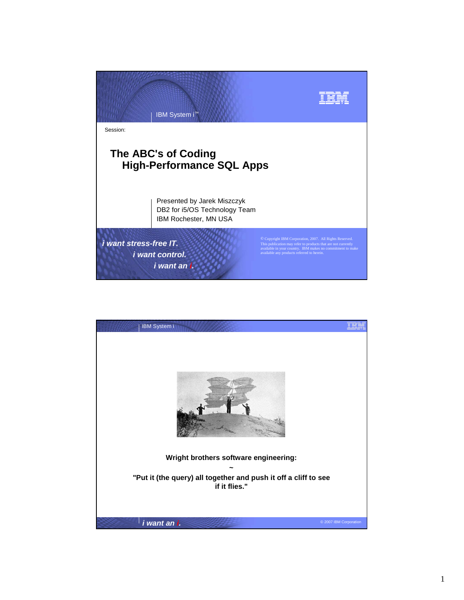

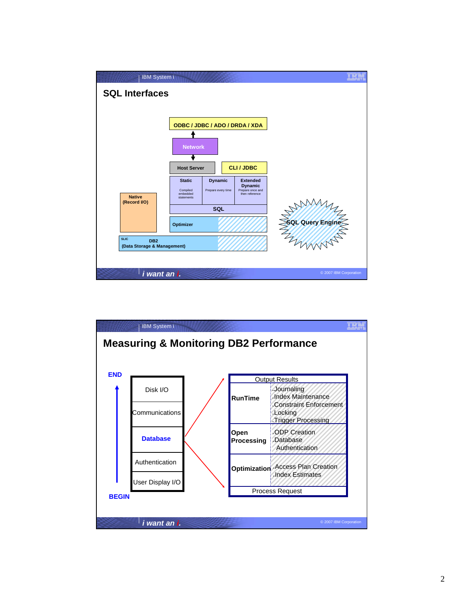

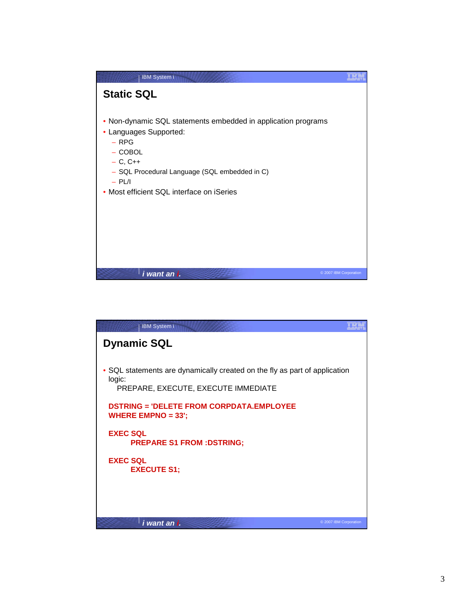

| <b>IBM System i</b>                                                                                                         |                        |
|-----------------------------------------------------------------------------------------------------------------------------|------------------------|
| <b>Dynamic SQL</b>                                                                                                          |                        |
| • SQL statements are dynamically created on the fly as part of application<br>logic:<br>PREPARE, EXECUTE, EXECUTE IMMEDIATE |                        |
| <b>DSTRING = 'DELETE FROM CORPDATA.EMPLOYEE</b><br><b>WHERE EMPNO = 33';</b>                                                |                        |
| <b>EXEC SOL</b><br><b>PREPARE S1 FROM : DSTRING;</b>                                                                        |                        |
| <b>EXEC SOL</b><br><b>EXECUTE S1;</b>                                                                                       |                        |
|                                                                                                                             |                        |
| i want an i.                                                                                                                | © 2007 IBM Corporation |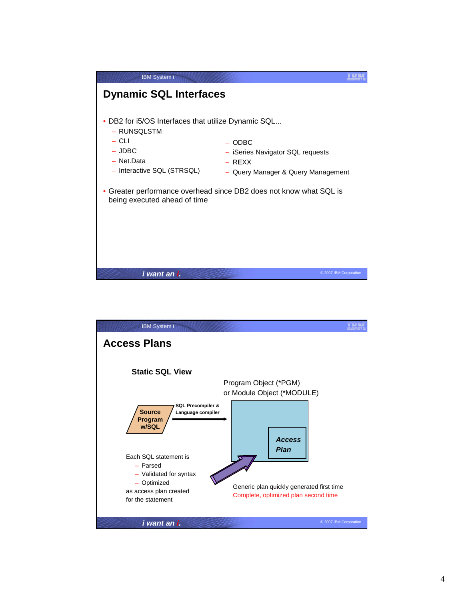

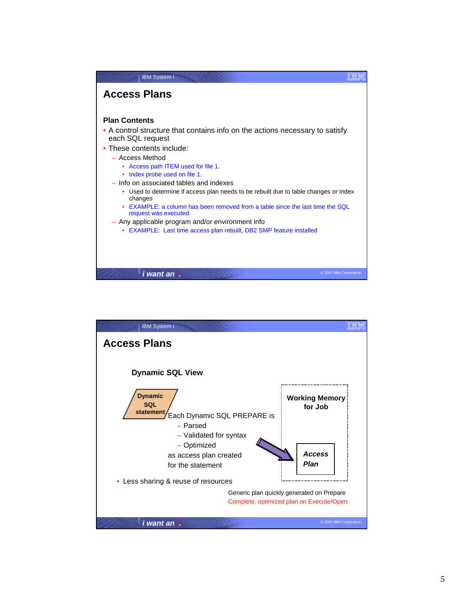

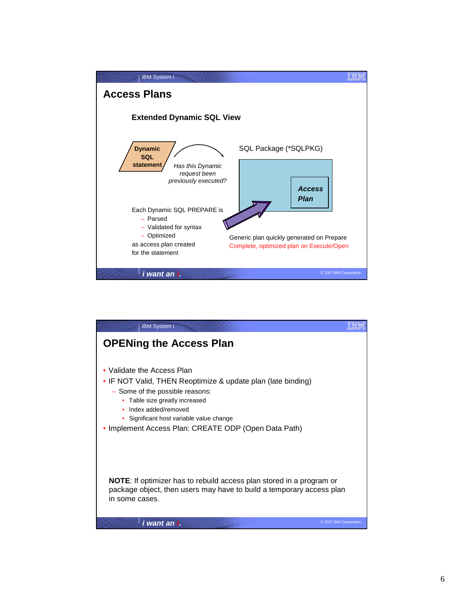

| <b>IBM System i</b>                                                                                                                                                                                                                                                                    |                        |
|----------------------------------------------------------------------------------------------------------------------------------------------------------------------------------------------------------------------------------------------------------------------------------------|------------------------|
| <b>OPENing the Access Plan</b>                                                                                                                                                                                                                                                         |                        |
| Validate the Access Plan<br>• IF NOT Valid, THEN Reoptimize & update plan (late binding)<br>- Some of the possible reasons:<br>• Table size greatly increased<br>Index added/removed<br>• Significant host variable value change<br>Implement Access Plan: CREATE ODP (Open Data Path) |                        |
| <b>NOTE:</b> If optimizer has to rebuild access plan stored in a program or<br>package object, then users may have to build a temporary access plan<br>in some cases.                                                                                                                  |                        |
| i want an i.                                                                                                                                                                                                                                                                           | © 2007 IBM Corporation |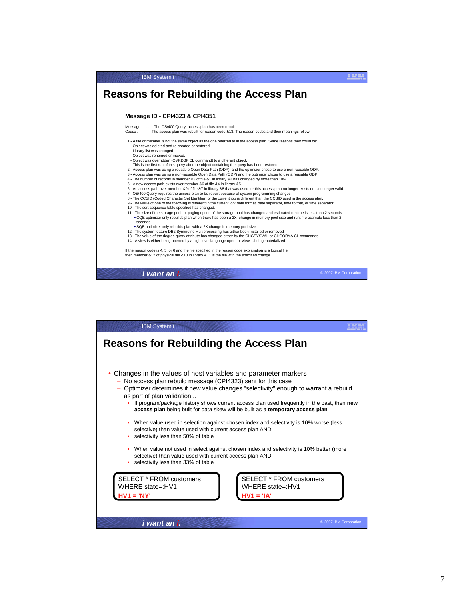

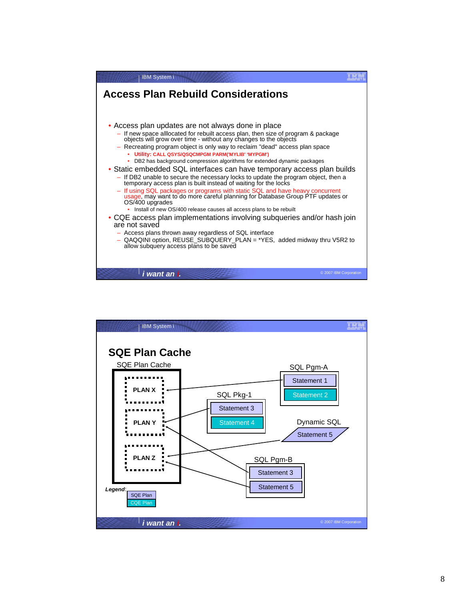

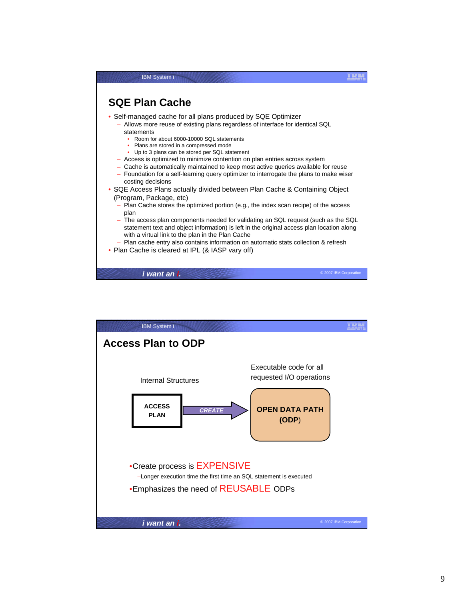

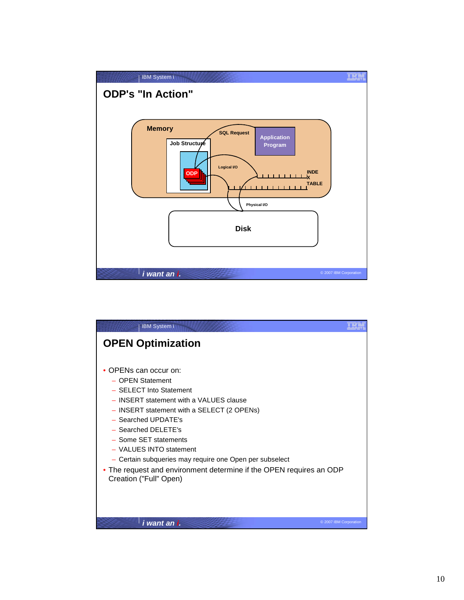

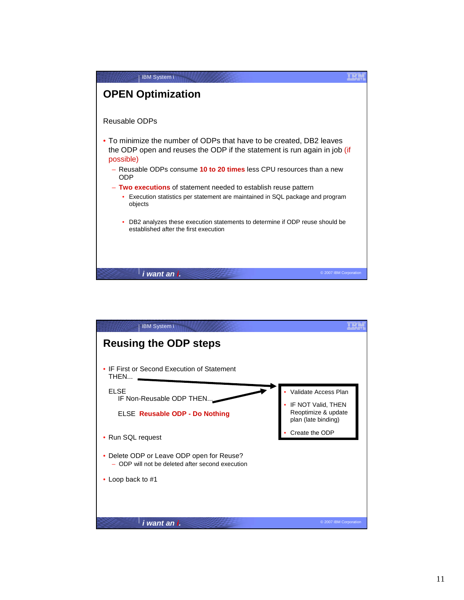

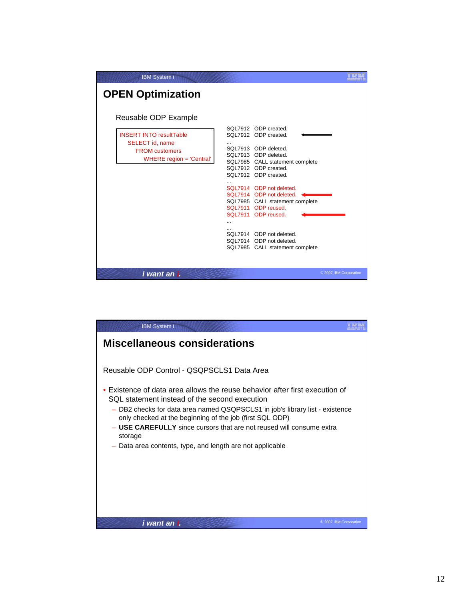| <b>IBM System i</b>                                                                                                            |                                                                                                                                                                                                                                                                                                                                                                                                                                            |                        |
|--------------------------------------------------------------------------------------------------------------------------------|--------------------------------------------------------------------------------------------------------------------------------------------------------------------------------------------------------------------------------------------------------------------------------------------------------------------------------------------------------------------------------------------------------------------------------------------|------------------------|
| <b>OPEN Optimization</b>                                                                                                       |                                                                                                                                                                                                                                                                                                                                                                                                                                            |                        |
| Reusable ODP Example<br><b>INSERT INTO resultTable</b><br>SELECT id, name<br><b>FROM customers</b><br>WHERE region = 'Central' | SQL7912 ODP created.<br>SQL7912 ODP created.<br><br>SQL7913 ODP deleted.<br>SQL7913 ODP deleted.<br>SQL7985 CALL statement complete<br>SQL7912 ODP created.<br>SQL7912 ODP created.<br>$\ddotsc$<br>SQL7914 ODP not deleted.<br>SQL7914 ODP not deleted.<br>SQL7985 CALL statement complete<br>SQL7911 ODP reused.<br>SQL7911 ODP reused.<br>44<br>SQL7914 ODP not deleted.<br>SQL7914 ODP not deleted.<br>SQL7985 CALL statement complete |                        |
| i want an i.                                                                                                                   |                                                                                                                                                                                                                                                                                                                                                                                                                                            | © 2007 IBM Corporation |

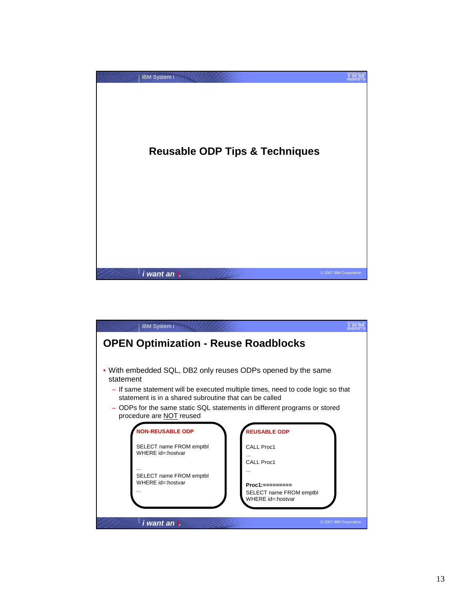

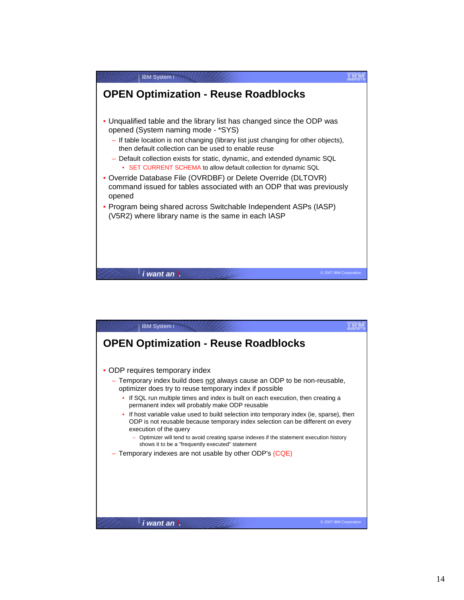

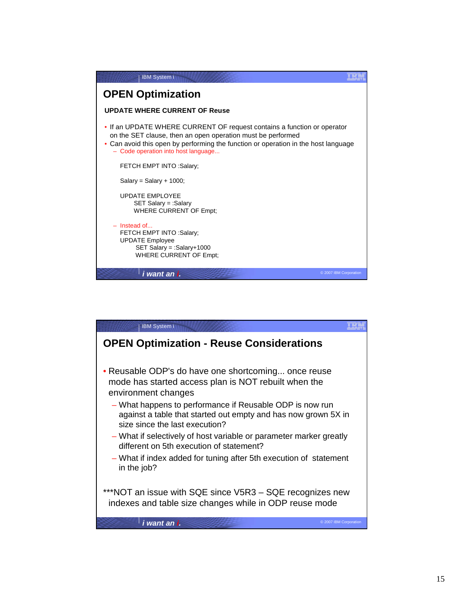

| <b>IBM System i</b>                                                                                                                                                                                                                                                                                                                                                                                                                                                                                      |  |
|----------------------------------------------------------------------------------------------------------------------------------------------------------------------------------------------------------------------------------------------------------------------------------------------------------------------------------------------------------------------------------------------------------------------------------------------------------------------------------------------------------|--|
| <b>OPEN Optimization - Reuse Considerations</b>                                                                                                                                                                                                                                                                                                                                                                                                                                                          |  |
| • Reusable ODP's do have one shortcoming once reuse<br>mode has started access plan is NOT rebuilt when the<br>environment changes<br>- What happens to performance if Reusable ODP is now run<br>against a table that started out empty and has now grown 5X in<br>size since the last execution?<br>- What if selectively of host variable or parameter marker greatly<br>different on 5th execution of statement?<br>- What if index added for tuning after 5th execution of statement<br>in the job? |  |
| ***NOT an issue with SQE since V5R3 - SQE recognizes new<br>indexes and table size changes while in ODP reuse mode                                                                                                                                                                                                                                                                                                                                                                                       |  |
| © 2007 IBM Corporation<br>i want an i.                                                                                                                                                                                                                                                                                                                                                                                                                                                                   |  |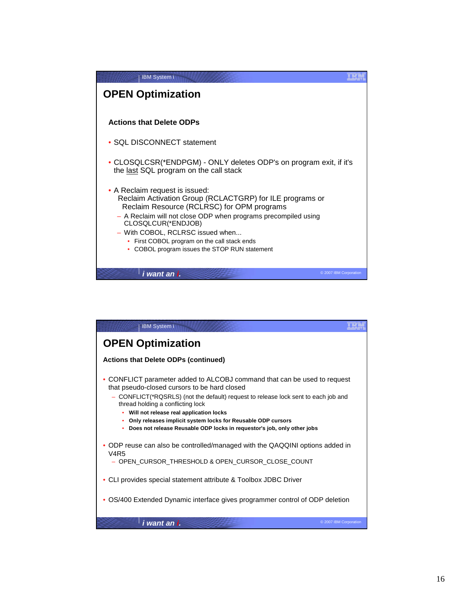

| <b>IBM System i</b>                                                                                                                                                                                                                                                                                                                                                                                                                             |
|-------------------------------------------------------------------------------------------------------------------------------------------------------------------------------------------------------------------------------------------------------------------------------------------------------------------------------------------------------------------------------------------------------------------------------------------------|
| <b>OPEN Optimization</b>                                                                                                                                                                                                                                                                                                                                                                                                                        |
| <b>Actions that Delete ODPs (continued)</b>                                                                                                                                                                                                                                                                                                                                                                                                     |
| • CONFLICT parameter added to ALCOBJ command that can be used to request<br>that pseudo-closed cursors to be hard closed<br>- CONFLICT(*RQSRLS) (not the default) request to release lock sent to each job and<br>thread holding a conflicting lock<br>• Will not release real application locks<br>• Only releases implicit system locks for Reusable ODP cursors<br>• Does not release Reusable ODP locks in requestor's job, only other jobs |
| • ODP reuse can also be controlled/managed with the QAQQINI options added in<br>V4R5                                                                                                                                                                                                                                                                                                                                                            |
| - OPEN CURSOR THRESHOLD & OPEN CURSOR CLOSE COUNT                                                                                                                                                                                                                                                                                                                                                                                               |
| • CLI provides special statement attribute & Toolbox JDBC Driver                                                                                                                                                                                                                                                                                                                                                                                |
| OS/400 Extended Dynamic interface gives programmer control of ODP deletion                                                                                                                                                                                                                                                                                                                                                                      |
| i want an i.<br>© 2007 IBM Corporation                                                                                                                                                                                                                                                                                                                                                                                                          |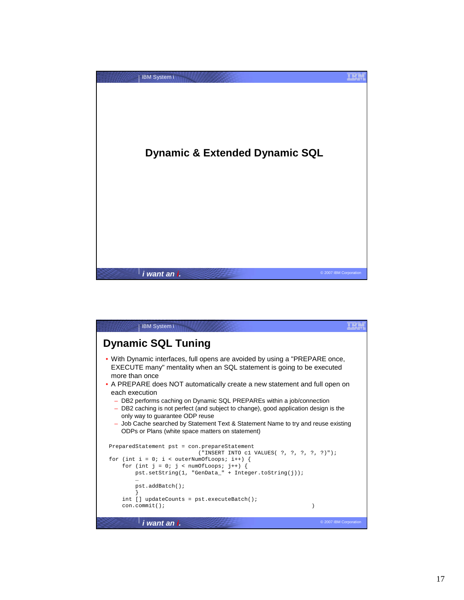

| <b>IBM</b> System i                                                                                                                                                                                                                                                                                                                                                                                                                                                                                                                                                                                                  |  |
|----------------------------------------------------------------------------------------------------------------------------------------------------------------------------------------------------------------------------------------------------------------------------------------------------------------------------------------------------------------------------------------------------------------------------------------------------------------------------------------------------------------------------------------------------------------------------------------------------------------------|--|
| <b>Dynamic SQL Tuning</b>                                                                                                                                                                                                                                                                                                                                                                                                                                                                                                                                                                                            |  |
| . With Dynamic interfaces, full opens are avoided by using a "PREPARE once,<br>EXECUTE many" mentality when an SQL statement is going to be executed<br>more than once<br>• A PREPARE does NOT automatically create a new statement and full open on<br>each execution<br>- DB2 performs caching on Dynamic SQL PREPAREs within a job/connection<br>- DB2 caching is not perfect (and subject to change), good application design is the<br>only way to guarantee ODP reuse<br>- Job Cache searched by Statement Text & Statement Name to try and reuse existing<br>ODPs or Plans (white space matters on statement) |  |
| PreparedStatement pst = con.prepareStatement<br>("INSERT INTO $c1$ VALUES( ?, ?, ?, ?, ?)");<br>for (int i = 0; i < outerNumOfLoops; i++) {                                                                                                                                                                                                                                                                                                                                                                                                                                                                          |  |
| for (int $j = 0$ ; $j <$ numOfLoops; $j++)$ {<br>$pst.setString(1, "GenData" + Integer.toString(j));$                                                                                                                                                                                                                                                                                                                                                                                                                                                                                                                |  |
| pst.addBatch();                                                                                                                                                                                                                                                                                                                                                                                                                                                                                                                                                                                                      |  |
| $int []$ updateCounts = pst.executeBatch();<br>$con.commit()$ ;<br>ł                                                                                                                                                                                                                                                                                                                                                                                                                                                                                                                                                 |  |
| © 2007 IBM Corporation<br>i want an i.                                                                                                                                                                                                                                                                                                                                                                                                                                                                                                                                                                               |  |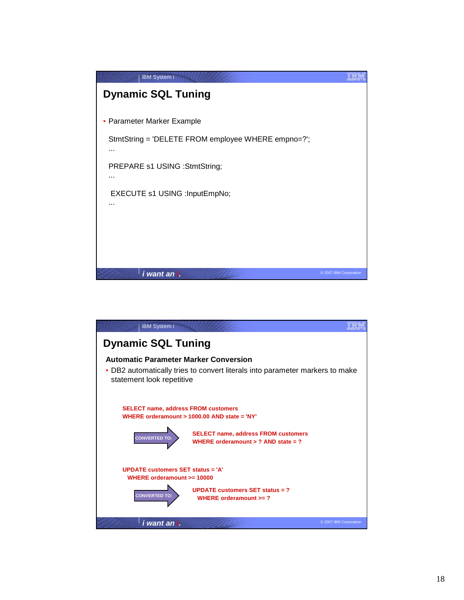

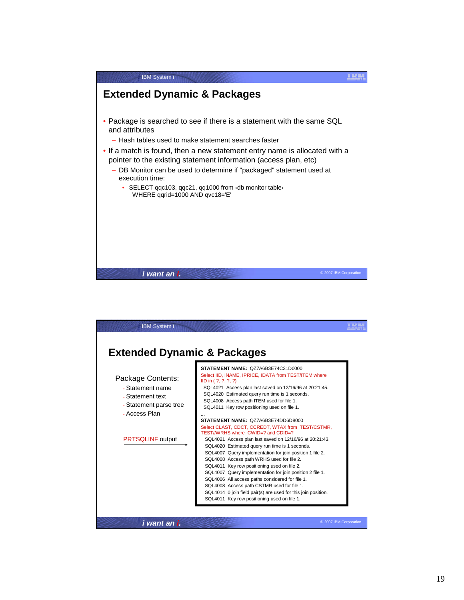

| <b>Extended Dynamic &amp; Packages</b>                                                               |                                                                                                                                                                                                                                                                                                                                                                                                                                                                                                                                                                                                                                           |
|------------------------------------------------------------------------------------------------------|-------------------------------------------------------------------------------------------------------------------------------------------------------------------------------------------------------------------------------------------------------------------------------------------------------------------------------------------------------------------------------------------------------------------------------------------------------------------------------------------------------------------------------------------------------------------------------------------------------------------------------------------|
| Package Contents:<br>• Statement name<br>. Statement text<br>• Statement parse tree<br>. Access Plan | STATEMENT NAME: QZ7A6B3E74C31D0000<br>Select IID, INAME, IPRICE, IDATA from TEST/ITEM where<br>ID in (?, ?, ?, ?)<br>SQL4021 Access plan last saved on 12/16/96 at 20:21:45.<br>SQL4020 Estimated query run time is 1 seconds.<br>SQL4008 Access path ITEM used for file 1.<br>SQL4011 Key row positioning used on file 1.<br>STATEMENT NAME: QZ7A6B3E74DD6D8000                                                                                                                                                                                                                                                                          |
| <b>PRTSQLINF</b> output                                                                              | Select CLAST, CDCT, CCREDT, WTAX from TEST/CSTMR.<br>TEST//WRHS where CWID=? and CDID=?<br>SQL4021 Access plan last saved on 12/16/96 at 20:21:43.<br>SQL4020 Estimated query run time is 1 seconds.<br>SQL4007 Query implementation for join position 1 file 2.<br>SQL4008 Access path WRHS used for file 2.<br>SQL4011 Key row positioning used on file 2.<br>SQL4007 Query implementation for join position 2 file 1.<br>SQL4006 All access paths considered for file 1.<br>SQL4008 Access path CSTMR used for file 1.<br>SQL4014 0 join field pair(s) are used for this join position.<br>SQL4011 Key row positioning used on file 1. |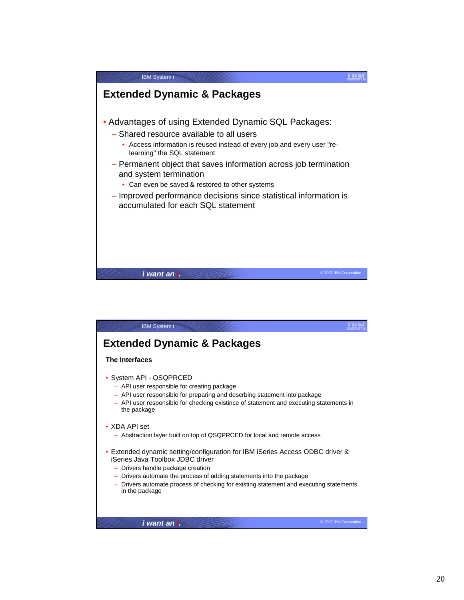

| <b>IBM System i</b>                                                                                                                                                                                                                                                                                                                        |                        |
|--------------------------------------------------------------------------------------------------------------------------------------------------------------------------------------------------------------------------------------------------------------------------------------------------------------------------------------------|------------------------|
| <b>Extended Dynamic &amp; Packages</b>                                                                                                                                                                                                                                                                                                     |                        |
| The Interfaces                                                                                                                                                                                                                                                                                                                             |                        |
| System API - QSQPRCED<br>- API user responsible for creating package<br>- API user responsible for preparing and descrbing statement into package<br>- API user responsible for checking existince of statement and executing statements in<br>the package                                                                                 |                        |
| $\bullet$ XDA API set<br>- Abstraction layer built on top of QSQPRCED for local and remote access                                                                                                                                                                                                                                          |                        |
| • Extended dynamic setting/configuration for IBM iSeries Access ODBC driver &<br>iSeries Java Toolbox JDBC driver<br>- Drivers handle package creation<br>- Drivers automate the process of adding statements into the package<br>- Drivers automate process of checking for existing statement and executing statements<br>in the package |                        |
| i want an i.                                                                                                                                                                                                                                                                                                                               | © 2007 IBM Corporation |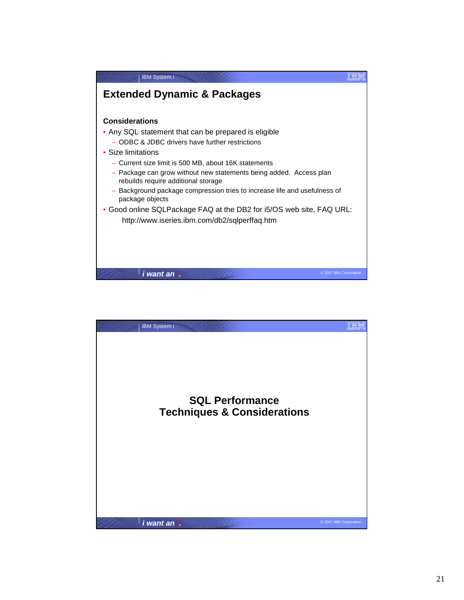

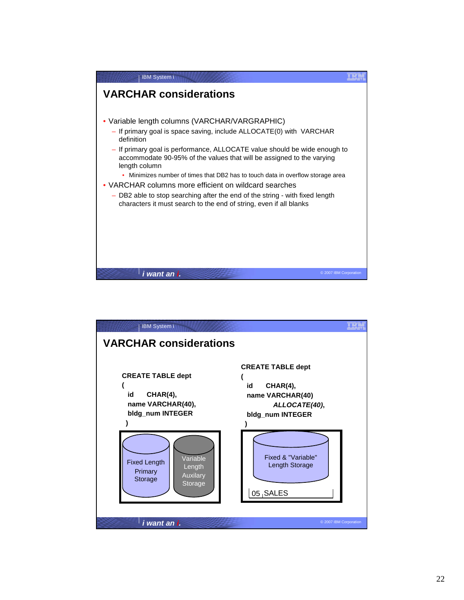

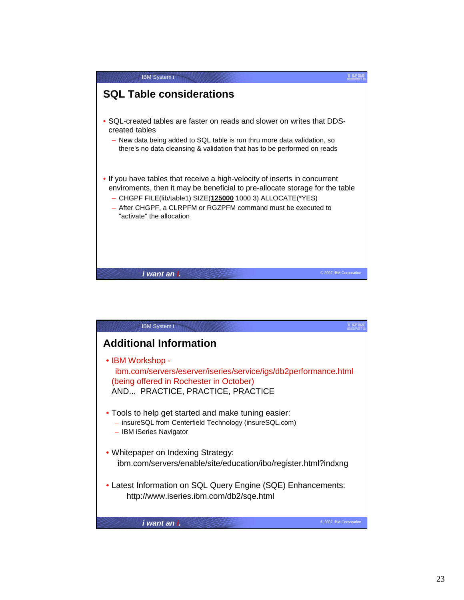

| <b>IBM System i</b>                                                                                                                                                |                        |
|--------------------------------------------------------------------------------------------------------------------------------------------------------------------|------------------------|
| <b>Additional Information</b>                                                                                                                                      |                        |
| • IBM Workshop -<br>ibm.com/servers/eserver/iseries/service/igs/db2performance.html<br>(being offered in Rochester in October)<br>AND PRACTICE, PRACTICE, PRACTICE |                        |
| • Tools to help get started and make tuning easier:<br>- insureSQL from Centerfield Technology (insureSQL.com)<br>- IBM iSeries Navigator                          |                        |
| • Whitepaper on Indexing Strategy:<br>ibm.com/servers/enable/site/education/ibo/register.html?indxng                                                               |                        |
| • Latest Information on SQL Query Engine (SQE) Enhancements:<br>http://www.iseries.ibm.com/db2/sqe.html                                                            |                        |
| i wan <u>t an i.</u>                                                                                                                                               | © 2007 IBM Corporation |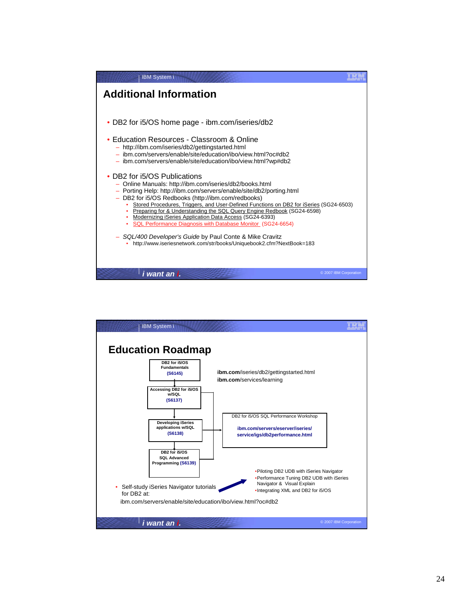

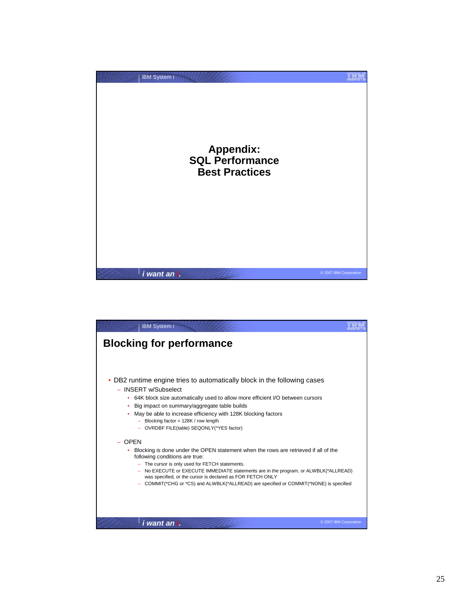

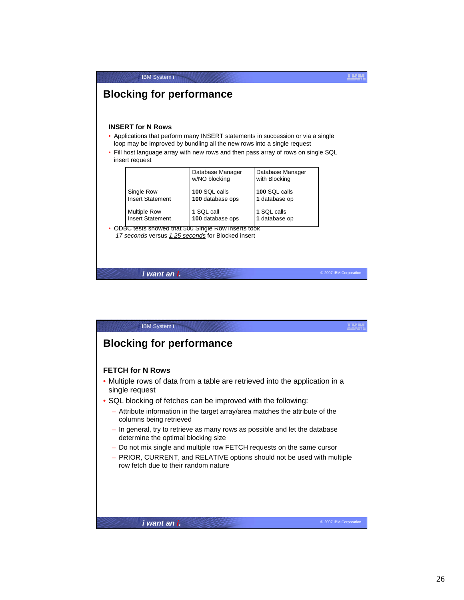| <b>IBM System i</b><br><b>Blocking for performance</b> |                                                                                                                                                                                                                                                 |                                   |                        |
|--------------------------------------------------------|-------------------------------------------------------------------------------------------------------------------------------------------------------------------------------------------------------------------------------------------------|-----------------------------------|------------------------|
| <b>INSERT for N Rows</b><br>insert request             | • Applications that perform many INSERT statements in succession or via a single<br>loop may be improved by bundling all the new rows into a single request<br>Fill host language array with new rows and then pass array of rows on single SQL |                                   |                        |
|                                                        | Database Manager<br>w/NO blocking                                                                                                                                                                                                               | Database Manager<br>with Blocking |                        |
| Single Row<br><b>Insert Statement</b>                  | $100$ SOI calls<br>100 database ops                                                                                                                                                                                                             | $100$ SOI calls<br>1 database op  |                        |
| <b>Multiple Row</b><br><b>Insert Statement</b>         | 1 SQL call<br>100 database ops                                                                                                                                                                                                                  | 1 SQL calls<br>1 database op      |                        |
|                                                        | ODBC tests showed that 500 Single Row inserts took<br>17 seconds versus 1.25 seconds for Blocked insert                                                                                                                                         |                                   |                        |
| i want an i.                                           |                                                                                                                                                                                                                                                 |                                   | © 2007 IBM Corporation |

| <b>IBM System i</b>                                                                                                                                                                                                                                                                                                                                                                                                                                                                                                                                                                                                       |                        |
|---------------------------------------------------------------------------------------------------------------------------------------------------------------------------------------------------------------------------------------------------------------------------------------------------------------------------------------------------------------------------------------------------------------------------------------------------------------------------------------------------------------------------------------------------------------------------------------------------------------------------|------------------------|
| <b>Blocking for performance</b>                                                                                                                                                                                                                                                                                                                                                                                                                                                                                                                                                                                           |                        |
| <b>FETCH for N Rows</b><br>• Multiple rows of data from a table are retrieved into the application in a<br>single request<br>• SQL blocking of fetches can be improved with the following:<br>- Attribute information in the target array/area matches the attribute of the<br>columns being retrieved<br>- In general, try to retrieve as many rows as possible and let the database<br>determine the optimal blocking size<br>- Do not mix single and multiple row FETCH requests on the same cursor<br>- PRIOR, CURRENT, and RELATIVE options should not be used with multiple<br>row fetch due to their random nature |                        |
|                                                                                                                                                                                                                                                                                                                                                                                                                                                                                                                                                                                                                           |                        |
| i want an i.                                                                                                                                                                                                                                                                                                                                                                                                                                                                                                                                                                                                              | © 2007 IBM Corporation |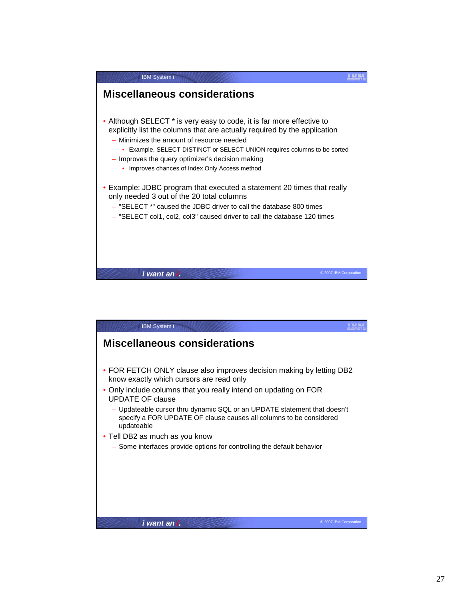

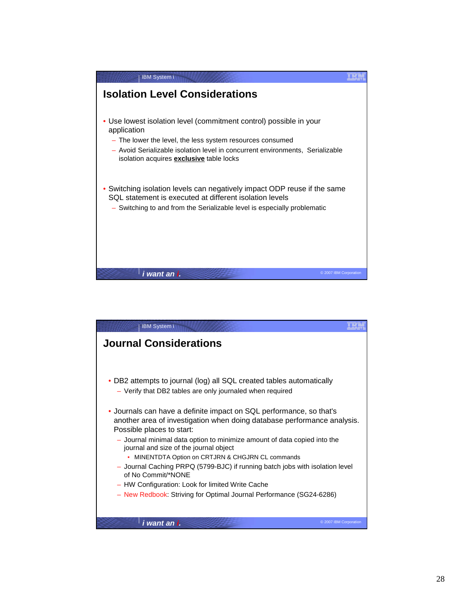

| <b>IBM System i</b>                                                                                                                            |                        |
|------------------------------------------------------------------------------------------------------------------------------------------------|------------------------|
| <b>Journal Considerations</b>                                                                                                                  |                        |
|                                                                                                                                                |                        |
|                                                                                                                                                |                        |
| DB2 attempts to journal (log) all SQL created tables automatically                                                                             |                        |
| - Verify that DB2 tables are only journaled when required                                                                                      |                        |
|                                                                                                                                                |                        |
| • Journals can have a definite impact on SQL performance, so that's<br>another area of investigation when doing database performance analysis. |                        |
| Possible places to start:                                                                                                                      |                        |
| - Journal minimal data option to minimize amount of data copied into the<br>journal and size of the journal object                             |                        |
| MINENTDTA Option on CRTJRN & CHGJRN CL commands                                                                                                |                        |
| - Journal Caching PRPQ (5799-BJC) if running batch jobs with isolation level<br>of No Commit/*NONE                                             |                        |
| - HW Configuration: Look for limited Write Cache                                                                                               |                        |
| - New Redbook: Striving for Optimal Journal Performance (SG24-6286)                                                                            |                        |
|                                                                                                                                                |                        |
| i want an L                                                                                                                                    | © 2007 IBM Corporation |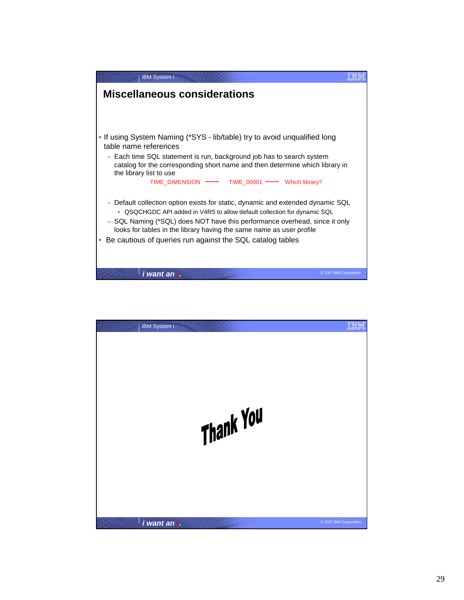